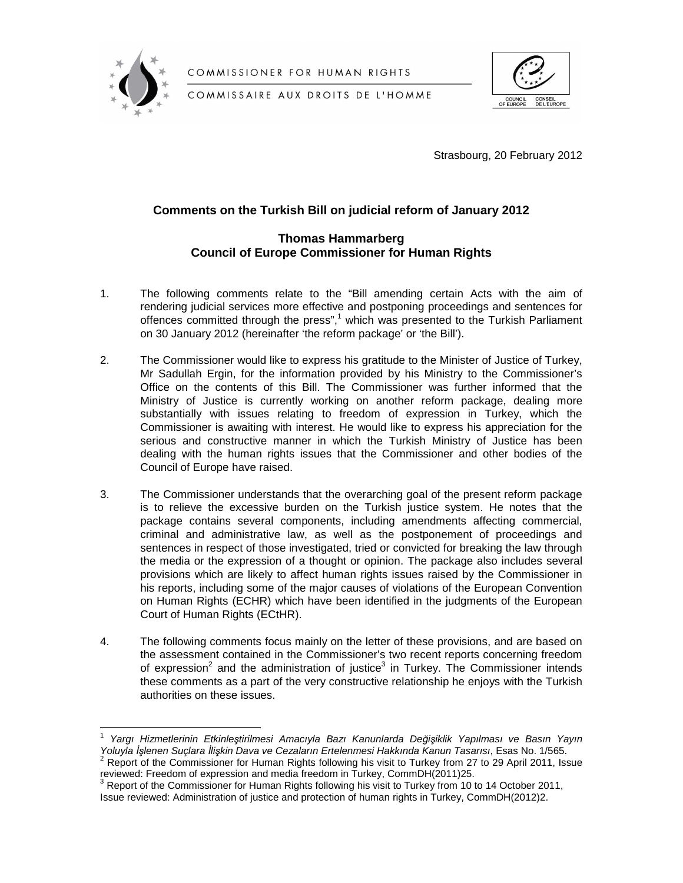

COMMISSIONER FOR HUMAN RIGHTS

COMMISSAIRE AUX DROITS DE L'HOMME



Strasbourg, 20 February 2012

# **Comments on the Turkish Bill on judicial reform of January 2012**

## **Thomas Hammarberg Council of Europe Commissioner for Human Rights**

- 1. The following comments relate to the "Bill amending certain Acts with the aim of rendering judicial services more effective and postponing proceedings and sentences for offences committed through the press",<sup>1</sup> which was presented to the Turkish Parliament on 30 January 2012 (hereinafter 'the reform package' or 'the Bill').
- 2. The Commissioner would like to express his gratitude to the Minister of Justice of Turkey, Mr Sadullah Ergin, for the information provided by his Ministry to the Commissioner's Office on the contents of this Bill. The Commissioner was further informed that the Ministry of Justice is currently working on another reform package, dealing more substantially with issues relating to freedom of expression in Turkey, which the Commissioner is awaiting with interest. He would like to express his appreciation for the serious and constructive manner in which the Turkish Ministry of Justice has been dealing with the human rights issues that the Commissioner and other bodies of the Council of Europe have raised.
- 3. The Commissioner understands that the overarching goal of the present reform package is to relieve the excessive burden on the Turkish justice system. He notes that the package contains several components, including amendments affecting commercial, criminal and administrative law, as well as the postponement of proceedings and sentences in respect of those investigated, tried or convicted for breaking the law through the media or the expression of a thought or opinion. The package also includes several provisions which are likely to affect human rights issues raised by the Commissioner in his reports, including some of the major causes of violations of the European Convention on Human Rights (ECHR) which have been identified in the judgments of the European Court of Human Rights (ECtHR).
- 4. The following comments focus mainly on the letter of these provisions, and are based on the assessment contained in the Commissioner's two recent reports concerning freedom of expression<sup>2</sup> and the administration of justice<sup>3</sup> in Turkey. The Commissioner intends these comments as a part of the very constructive relationship he enjoys with the Turkish authorities on these issues.

 $\overline{a}$ 1 Yargı Hizmetlerinin Etkinleştirilmesi Amacıyla Bazı Kanunlarda Değişiklik Yapılması ve Basın Yayın Yoluyla İslenen Suclara İlişkin Dava ve Cezaların Ertelenmesi Hakkında Kanun Tasarısı, Esas No. 1/565.

 $2$  Report of the Commissioner for Human Rights following his visit to Turkey from 27 to 29 April 2011, Issue reviewed: Freedom of expression and media freedom in Turkey, CommDH(2011)25.

 $3$  Report of the Commissioner for Human Rights following his visit to Turkey from 10 to 14 October 2011, Issue reviewed: Administration of justice and protection of human rights in Turkey, CommDH(2012)2.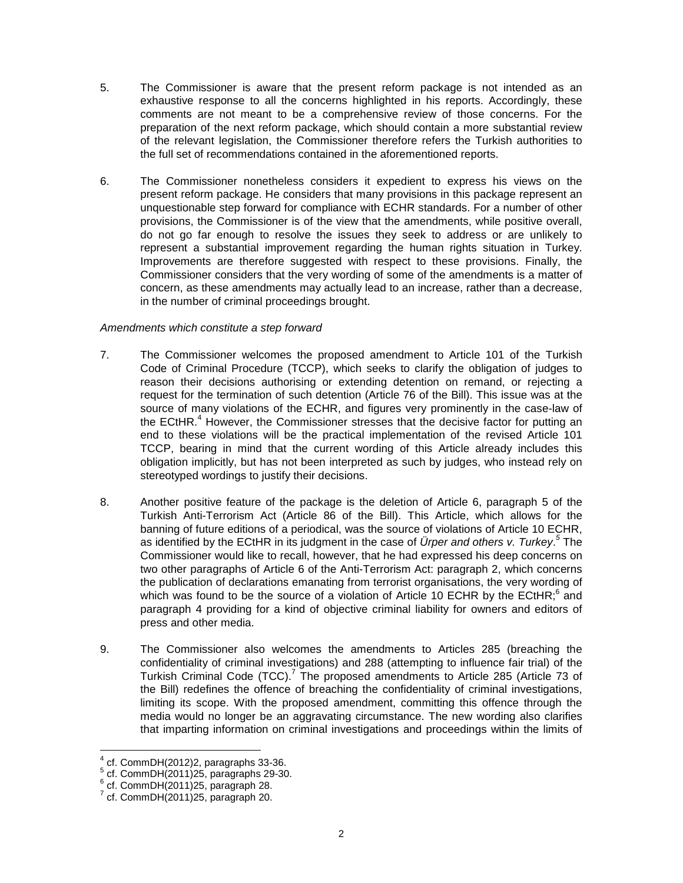- 5. The Commissioner is aware that the present reform package is not intended as an exhaustive response to all the concerns highlighted in his reports. Accordingly, these comments are not meant to be a comprehensive review of those concerns. For the preparation of the next reform package, which should contain a more substantial review of the relevant legislation, the Commissioner therefore refers the Turkish authorities to the full set of recommendations contained in the aforementioned reports.
- 6. The Commissioner nonetheless considers it expedient to express his views on the present reform package. He considers that many provisions in this package represent an unquestionable step forward for compliance with ECHR standards. For a number of other provisions, the Commissioner is of the view that the amendments, while positive overall, do not go far enough to resolve the issues they seek to address or are unlikely to represent a substantial improvement regarding the human rights situation in Turkey. Improvements are therefore suggested with respect to these provisions. Finally, the Commissioner considers that the very wording of some of the amendments is a matter of concern, as these amendments may actually lead to an increase, rather than a decrease, in the number of criminal proceedings brought.

### Amendments which constitute a step forward

- 7. The Commissioner welcomes the proposed amendment to Article 101 of the Turkish Code of Criminal Procedure (TCCP), which seeks to clarify the obligation of judges to reason their decisions authorising or extending detention on remand, or rejecting a request for the termination of such detention (Article 76 of the Bill). This issue was at the source of many violations of the ECHR, and figures very prominently in the case-law of the ECtHR.<sup>4</sup> However, the Commissioner stresses that the decisive factor for putting an end to these violations will be the practical implementation of the revised Article 101 TCCP, bearing in mind that the current wording of this Article already includes this obligation implicitly, but has not been interpreted as such by judges, who instead rely on stereotyped wordings to justify their decisions.
- 8. Another positive feature of the package is the deletion of Article 6, paragraph 5 of the Turkish Anti-Terrorism Act (Article 86 of the Bill). This Article, which allows for the banning of future editions of a periodical, was the source of violations of Article 10 ECHR, as identified by the ECtHR in its judgment in the case of *Ürper and others v. Turkey*.<sup>5</sup> The Commissioner would like to recall, however, that he had expressed his deep concerns on two other paragraphs of Article 6 of the Anti-Terrorism Act: paragraph 2, which concerns the publication of declarations emanating from terrorist organisations, the very wording of which was found to be the source of a violation of Article 10 ECHR by the ECtHR; $^6$  and paragraph 4 providing for a kind of objective criminal liability for owners and editors of press and other media.
- 9. The Commissioner also welcomes the amendments to Articles 285 (breaching the confidentiality of criminal investigations) and 288 (attempting to influence fair trial) of the Turkish Criminal Code  $(TCC)$ .<sup>7</sup> The proposed amendments to Article 285 (Article 73 of the Bill) redefines the offence of breaching the confidentiality of criminal investigations, limiting its scope. With the proposed amendment, committing this offence through the media would no longer be an aggravating circumstance. The new wording also clarifies that imparting information on criminal investigations and proceedings within the limits of

l

<sup>4</sup> cf. CommDH(2012)2, paragraphs 33-36.

<sup>5</sup> cf. CommDH(2011)25, paragraphs 29-30.

 $6$  cf. CommDH $(2011)25$ , paragraph 28.

 $^7$  cf. CommDH $(2011)25$ , paragraph 20.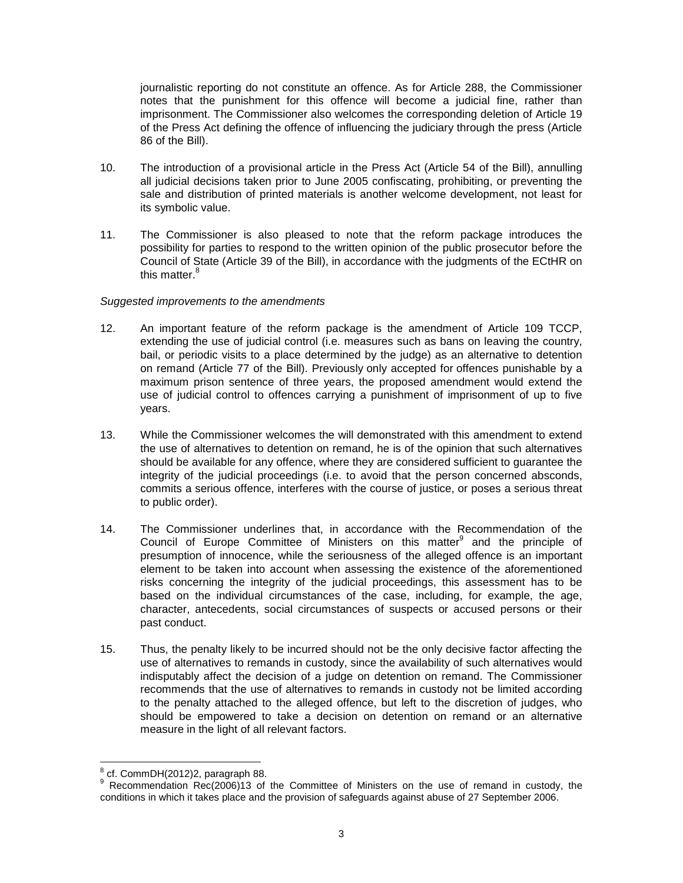journalistic reporting do not constitute an offence. As for Article 288, the Commissioner notes that the punishment for this offence will become a judicial fine, rather than imprisonment. The Commissioner also welcomes the corresponding deletion of Article 19 of the Press Act defining the offence of influencing the judiciary through the press (Article 86 of the Bill).

- 10. The introduction of a provisional article in the Press Act (Article 54 of the Bill), annulling all judicial decisions taken prior to June 2005 confiscating, prohibiting, or preventing the sale and distribution of printed materials is another welcome development, not least for its symbolic value.
- 11. The Commissioner is also pleased to note that the reform package introduces the possibility for parties to respond to the written opinion of the public prosecutor before the Council of State (Article 39 of the Bill), in accordance with the judgments of the ECtHR on this matter.<sup>8</sup>

### Suggested improvements to the amendments

- 12. An important feature of the reform package is the amendment of Article 109 TCCP, extending the use of judicial control (i.e. measures such as bans on leaving the country, bail, or periodic visits to a place determined by the judge) as an alternative to detention on remand (Article 77 of the Bill). Previously only accepted for offences punishable by a maximum prison sentence of three years, the proposed amendment would extend the use of judicial control to offences carrying a punishment of imprisonment of up to five years.
- 13. While the Commissioner welcomes the will demonstrated with this amendment to extend the use of alternatives to detention on remand, he is of the opinion that such alternatives should be available for any offence, where they are considered sufficient to guarantee the integrity of the judicial proceedings (i.e. to avoid that the person concerned absconds, commits a serious offence, interferes with the course of justice, or poses a serious threat to public order).
- 14. The Commissioner underlines that, in accordance with the Recommendation of the Council of Europe Committee of Ministers on this matter<sup>9</sup> and the principle of presumption of innocence, while the seriousness of the alleged offence is an important element to be taken into account when assessing the existence of the aforementioned risks concerning the integrity of the judicial proceedings, this assessment has to be based on the individual circumstances of the case, including, for example, the age, character, antecedents, social circumstances of suspects or accused persons or their past conduct.
- 15. Thus, the penalty likely to be incurred should not be the only decisive factor affecting the use of alternatives to remands in custody, since the availability of such alternatives would indisputably affect the decision of a judge on detention on remand. The Commissioner recommends that the use of alternatives to remands in custody not be limited according to the penalty attached to the alleged offence, but left to the discretion of judges, who should be empowered to take a decision on detention on remand or an alternative measure in the light of all relevant factors.

l 8 cf. CommDH(2012)2, paragraph 88.

<sup>&</sup>lt;sup>9</sup> Recommendation Rec(2006)13 of the Committee of Ministers on the use of remand in custody, the conditions in which it takes place and the provision of safeguards against abuse of 27 September 2006.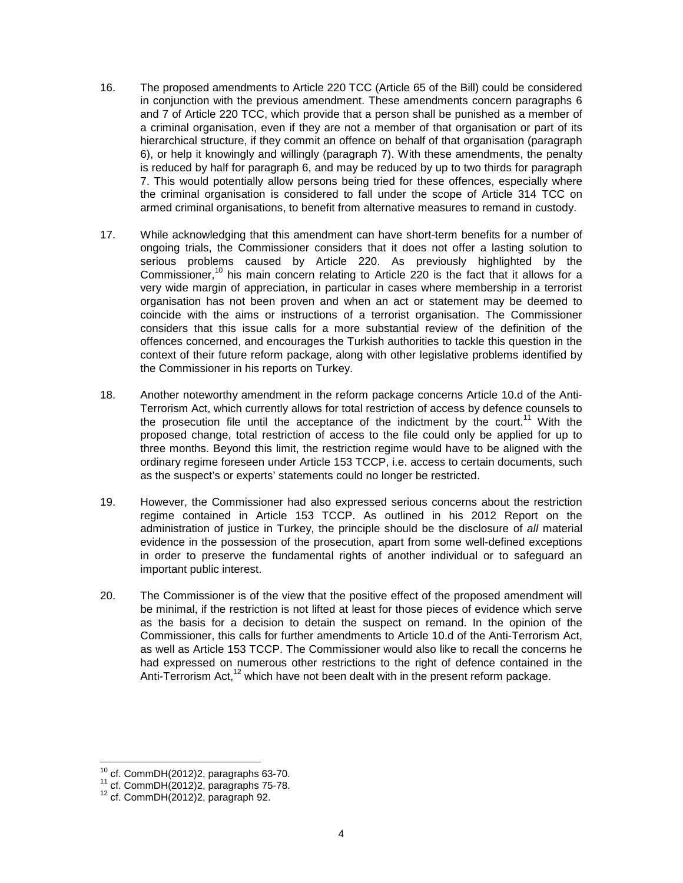- 16. The proposed amendments to Article 220 TCC (Article 65 of the Bill) could be considered in conjunction with the previous amendment. These amendments concern paragraphs 6 and 7 of Article 220 TCC, which provide that a person shall be punished as a member of a criminal organisation, even if they are not a member of that organisation or part of its hierarchical structure, if they commit an offence on behalf of that organisation (paragraph 6), or help it knowingly and willingly (paragraph 7). With these amendments, the penalty is reduced by half for paragraph 6, and may be reduced by up to two thirds for paragraph 7. This would potentially allow persons being tried for these offences, especially where the criminal organisation is considered to fall under the scope of Article 314 TCC on armed criminal organisations, to benefit from alternative measures to remand in custody.
- 17. While acknowledging that this amendment can have short-term benefits for a number of ongoing trials, the Commissioner considers that it does not offer a lasting solution to serious problems caused by Article 220. As previously highlighted by the Commissioner,<sup>10</sup> his main concern relating to Article 220 is the fact that it allows for a very wide margin of appreciation, in particular in cases where membership in a terrorist organisation has not been proven and when an act or statement may be deemed to coincide with the aims or instructions of a terrorist organisation. The Commissioner considers that this issue calls for a more substantial review of the definition of the offences concerned, and encourages the Turkish authorities to tackle this question in the context of their future reform package, along with other legislative problems identified by the Commissioner in his reports on Turkey.
- 18. Another noteworthy amendment in the reform package concerns Article 10.d of the Anti-Terrorism Act, which currently allows for total restriction of access by defence counsels to the prosecution file until the acceptance of the indictment by the court.<sup>11</sup> With the proposed change, total restriction of access to the file could only be applied for up to three months. Beyond this limit, the restriction regime would have to be aligned with the ordinary regime foreseen under Article 153 TCCP, i.e. access to certain documents, such as the suspect's or experts' statements could no longer be restricted.
- 19. However, the Commissioner had also expressed serious concerns about the restriction regime contained in Article 153 TCCP. As outlined in his 2012 Report on the administration of justice in Turkey, the principle should be the disclosure of all material evidence in the possession of the prosecution, apart from some well-defined exceptions in order to preserve the fundamental rights of another individual or to safeguard an important public interest.
- 20. The Commissioner is of the view that the positive effect of the proposed amendment will be minimal, if the restriction is not lifted at least for those pieces of evidence which serve as the basis for a decision to detain the suspect on remand. In the opinion of the Commissioner, this calls for further amendments to Article 10.d of the Anti-Terrorism Act, as well as Article 153 TCCP. The Commissioner would also like to recall the concerns he had expressed on numerous other restrictions to the right of defence contained in the Anti-Terrorism Act, $12$  which have not been dealt with in the present reform package.

l  $^{10}$  cf. CommDH(2012)2, paragraphs 63-70.

 $11$  cf. CommDH $(2012)2$ , paragraphs 75-78.

 $12$  cf. CommDH $(2012)2$ , paragraph 92.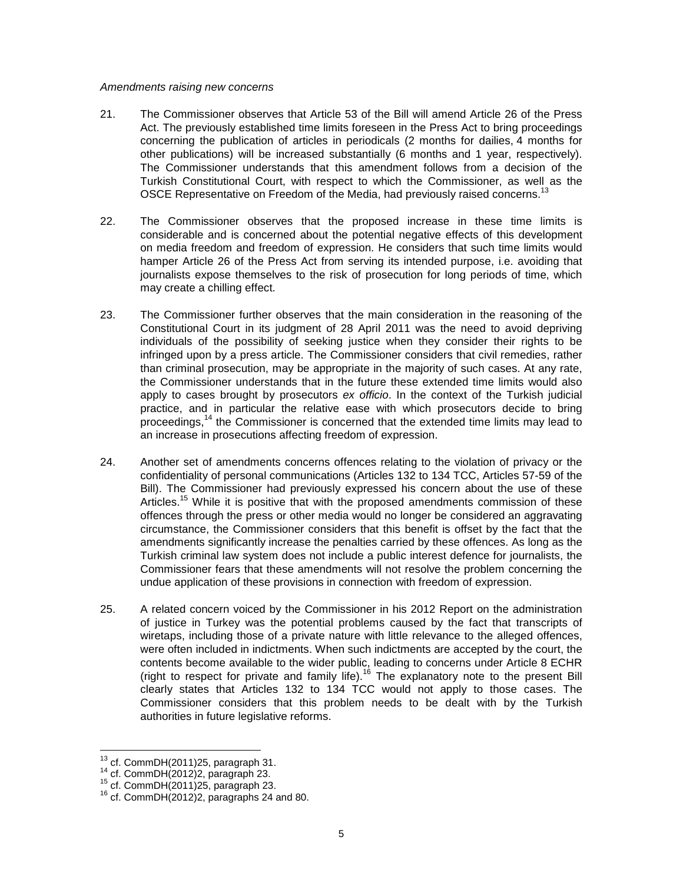#### Amendments raising new concerns

- 21. The Commissioner observes that Article 53 of the Bill will amend Article 26 of the Press Act. The previously established time limits foreseen in the Press Act to bring proceedings concerning the publication of articles in periodicals (2 months for dailies, 4 months for other publications) will be increased substantially (6 months and 1 year, respectively). The Commissioner understands that this amendment follows from a decision of the Turkish Constitutional Court, with respect to which the Commissioner, as well as the OSCE Representative on Freedom of the Media, had previously raised concerns.<sup>13</sup>
- 22. The Commissioner observes that the proposed increase in these time limits is considerable and is concerned about the potential negative effects of this development on media freedom and freedom of expression. He considers that such time limits would hamper Article 26 of the Press Act from serving its intended purpose, i.e. avoiding that journalists expose themselves to the risk of prosecution for long periods of time, which may create a chilling effect.
- 23. The Commissioner further observes that the main consideration in the reasoning of the Constitutional Court in its judgment of 28 April 2011 was the need to avoid depriving individuals of the possibility of seeking justice when they consider their rights to be infringed upon by a press article. The Commissioner considers that civil remedies, rather than criminal prosecution, may be appropriate in the majority of such cases. At any rate, the Commissioner understands that in the future these extended time limits would also apply to cases brought by prosecutors ex officio. In the context of the Turkish judicial practice, and in particular the relative ease with which prosecutors decide to bring proceedings, $14$  the Commissioner is concerned that the extended time limits may lead to an increase in prosecutions affecting freedom of expression.
- 24. Another set of amendments concerns offences relating to the violation of privacy or the confidentiality of personal communications (Articles 132 to 134 TCC, Articles 57-59 of the Bill). The Commissioner had previously expressed his concern about the use of these Articles.<sup>15</sup> While it is positive that with the proposed amendments commission of these offences through the press or other media would no longer be considered an aggravating circumstance, the Commissioner considers that this benefit is offset by the fact that the amendments significantly increase the penalties carried by these offences. As long as the Turkish criminal law system does not include a public interest defence for journalists, the Commissioner fears that these amendments will not resolve the problem concerning the undue application of these provisions in connection with freedom of expression.
- 25. A related concern voiced by the Commissioner in his 2012 Report on the administration of justice in Turkey was the potential problems caused by the fact that transcripts of wiretaps, including those of a private nature with little relevance to the alleged offences, were often included in indictments. When such indictments are accepted by the court, the contents become available to the wider public, leading to concerns under Article 8 ECHR (right to respect for private and family life).<sup>16</sup> The explanatory note to the present Bill clearly states that Articles 132 to 134 TCC would not apply to those cases. The Commissioner considers that this problem needs to be dealt with by the Turkish authorities in future legislative reforms.

l

 $^{13}$  cf. CommDH(2011)25, paragraph 31.

<sup>14</sup> cf. CommDH(2012)2, paragraph 23.

 $15$  cf. CommDH $(2011)25$ , paragraph 23.

 $16$  cf. CommDH $(2012)2$ , paragraphs 24 and 80.